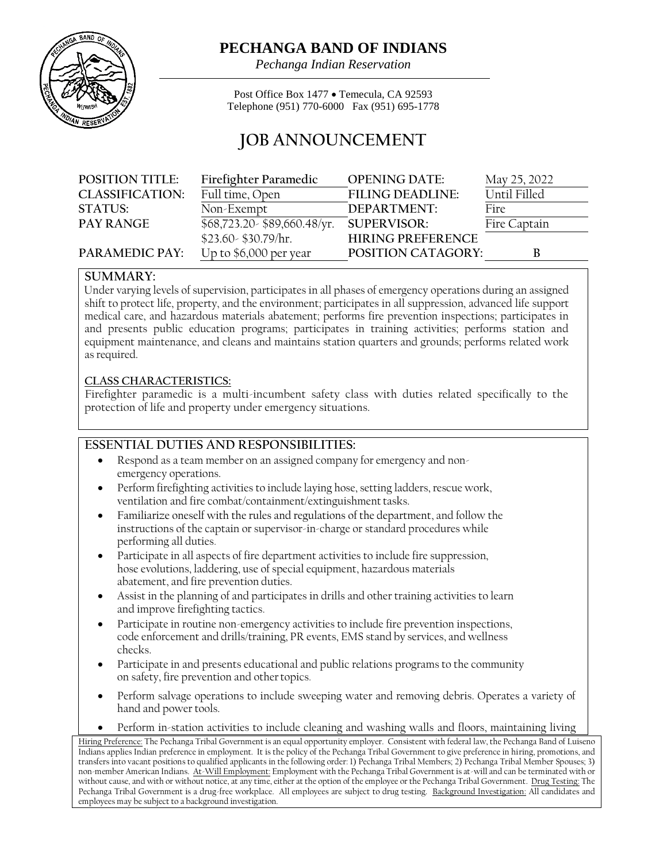

# **PECHANGA BAND OF INDIANS**

*Pechanga Indian Reservation*

Post Office Box 1477 • Temecula, CA 92593 Telephone (951) 770-6000 Fax (951) 695-1778

# **JOB ANNOUNCEMENT**

| <b>POSITION TITLE:</b> | Firefighter Paramedic         | <b>OPENING DATE:</b>      | May 25, 2022 |
|------------------------|-------------------------------|---------------------------|--------------|
| <b>CLASSIFICATION:</b> | Full time, Open               | <b>FILING DEADLINE:</b>   | Until Filled |
| STATUS:                | Non-Exempt                    | DEPARTMENT:               | Fire         |
| <b>PAY RANGE</b>       | \$68,723.20 - \$89,660.48/yr. | <b>SUPERVISOR:</b>        | Fire Captain |
|                        | $$23.60 - $30.79/hr.$         | <b>HIRING PREFERENCE</b>  |              |
| PARAMEDIC PAY:         | Up to \$6,000 per year        | <b>POSITION CATAGORY:</b> | В            |

#### **SUMMARY:**

Under varying levels of supervision, participates in all phases of emergency operations during an assigned shift to protect life, property, and the environment; participates in all suppression, advanced life support medical care, and hazardous materials abatement; performs fire prevention inspections; participates in and presents public education programs; participates in training activities; performs station and equipment maintenance, and cleans and maintains station quarters and grounds; performs related work asrequired.

#### **CLASS CHARACTERISTICS:**

Firefighter paramedic is a multi-incumbent safety class with duties related specifically to the protection of life and property under emergency situations.

## **ESSENTIAL DUTIES AND RESPONSIBILITIES:**

- Respond as a team member on an assigned company for emergency and nonemergency operations.
- Perform firefighting activities to include laying hose, setting ladders, rescue work, ventilation and fire combat/containment/extinguishment tasks.
- Familiarize oneself with the rules and regulations of the department, and follow the instructions of the captain or supervisor-in-charge or standard procedures while performing all duties.
- Participate in all aspects of fire department activities to include fire suppression, hose evolutions, laddering, use of special equipment, hazardous materials abatement, and fire prevention duties.
- Assist in the planning of and participates in drills and other training activities to learn and improve firefighting tactics.
- Participate in routine non-emergency activities to include fire prevention inspections, code enforcement and drills/training, PR events, EMS stand by services, and wellness checks.
- Participate in and presents educational and public relations programs to the community on safety, fire prevention and other topics.
- Perform salvage operations to include sweeping water and removing debris. Operates a variety of hand and power tools.
- Perform in-station activities to include cleaning and washing walls and floors, maintaining living

Hiring Preference: The Pechanga Tribal Government is an equal opportunity employer. Consistent with federal law, the Pechanga Band of Luiseno Indians applies Indian preference in employment. It is the policy of the Pechanga Tribal Government to give preference in hiring, promotions, and transfers into vacant positions to qualified applicants in the following order: 1) Pechanga Tribal Members; 2) Pechanga Tribal Member Spouses; 3) non-member American Indians. At-Will Employment: Employment with the Pechanga Tribal Government is at-will and can be terminated with or without cause, and with or without notice, at any time, either at the option of the employee or the Pechanga Tribal Government. Drug Testing: The Pechanga Tribal Government is a drug-free workplace. All employees are subject to drug testing. Background Investigation: All candidates and employees may be subject to a background investigation.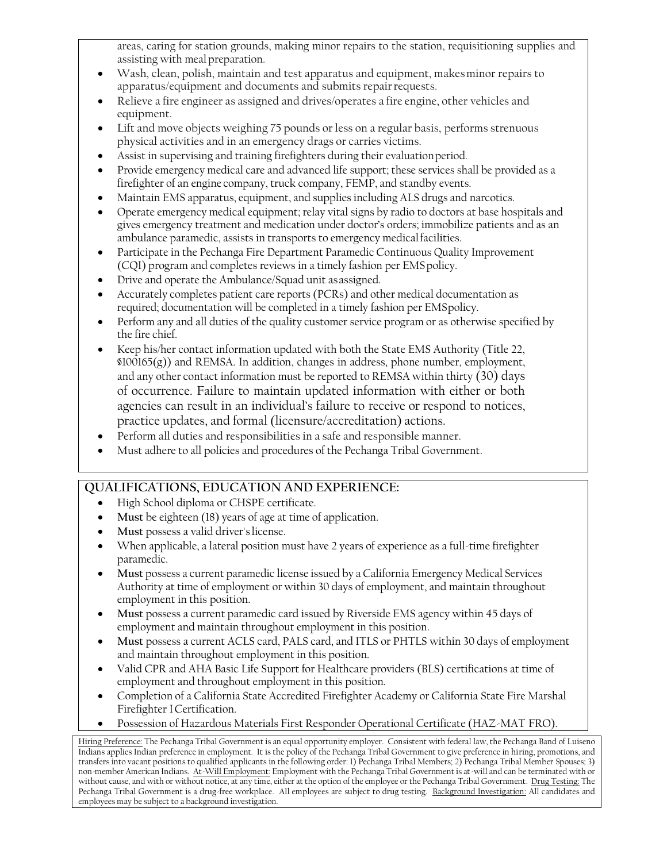areas, caring for station grounds, making minor repairs to the station, requisitioning supplies and assisting with meal preparation.

- Wash, clean, polish, maintain and test apparatus and equipment, makesminor repairs to apparatus/equipment and documents and submits repairrequests.
- Relieve a fire engineer as assigned and drives/operates a fire engine, other vehicles and equipment.
- Lift and move objects weighing 75 pounds or less on a regular basis, performs strenuous physical activities and in an emergency drags or carries victims.
- Assist in supervising and training firefighters during their evaluationperiod.
- Provide emergency medical care and advanced life support; these services shall be provided as a firefighter of an engine company, truck company, FEMP, and standby events.
- Maintain EMS apparatus, equipment, and supplies including ALS drugs and narcotics.
- Operate emergency medical equipment; relay vital signs by radio to doctors at base hospitals and gives emergency treatment and medication under doctor's orders; immobilize patients and as an ambulance paramedic, assists in transports to emergency medical facilities.
- Participate in the Pechanga Fire Department Paramedic Continuous Quality Improvement (CQI) program and completes reviews in a timely fashion per EMSpolicy.
- Drive and operate the Ambulance/Squad unit asassigned.
- Accurately completes patient care reports (PCRs) and other medical documentation as required; documentation will be completed in a timely fashion per EMSpolicy.
- Perform any and all duties of the quality customer service program or as otherwise specified by the fire chief.
- Keep his/her contact information updated with both the State EMS Authority (Title 22,  $$100165(g)$ ) and REMSA. In addition, changes in address, phone number, employment, and any other contact information must be reported to REMSA within thirty (30) days of occurrence. Failure to maintain updated information with either or both agencies can result in an individual's failure to receive or respond to notices, practice updates, and formal (licensure/accreditation) actions.
- Perform all duties and responsibilities in a safe and responsible manner.
- Must adhere to all policies and procedures of the Pechanga Tribal Government.

## **QUALIFICATIONS, EDUCATION AND EXPERIENCE:**

- High School diploma or CHSPE certificate.
- **Must** be eighteen (18) years of age at time of application.
- **Must** possess a valid driver'slicense.
- When applicable, a lateral position must have 2 years of experience as a full-time firefighter paramedic.
- **Must** possess a current paramedic license issued by a California Emergency Medical Services Authority at time of employment or within 30 days of employment, and maintain throughout employment in this position.
- **Must** possess a current paramedic card issued by Riverside EMS agency within 45 days of employment and maintain throughout employment in this position.
- **Must** possess a current ACLS card, PALS card, and ITLS or PHTLS within 30 days of employment and maintain throughout employment in this position.
- Valid CPR and AHA Basic Life Support for Healthcare providers (BLS) certifications at time of employment and throughout employment in this position.
- Completion of a California State Accredited Firefighter Academy or California State Fire Marshal Firefighter ICertification.
- Possession of Hazardous Materials First Responder Operational Certificate (HAZ-MAT FRO).

Hiring Preference: The Pechanga Tribal Government is an equal opportunity employer. Consistent with federal law, the Pechanga Band of Luiseno Indians applies Indian preference in employment. It is the policy of the Pechanga Tribal Government to give preference in hiring, promotions, and transfers into vacant positions to qualified applicants in the following order: 1) Pechanga Tribal Members; 2) Pechanga Tribal Member Spouses; 3) non-member American Indians. At-Will Employment: Employment with the Pechanga Tribal Government is at-will and can be terminated with or without cause, and with or without notice, at any time, either at the option of the employee or the Pechanga Tribal Government. Drug Testing: The Pechanga Tribal Government is a drug-free workplace. All employees are subject to drug testing. Background Investigation: All candidates and employees may be subject to a background investigation.